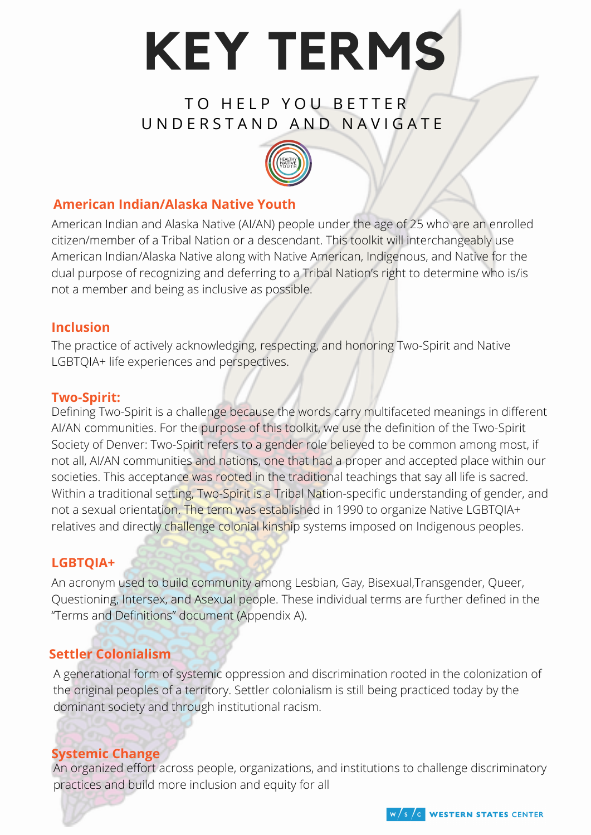

## TO HELP YOU BETTER UN DERSTAND AND NAVIGATE



## **American Indian/Alaska Native Youth**

American Indian and Alaska Native (AI/AN) people under the age of 25 who are an enrolled citizen/member of a Tribal Nation or a descendant. This toolkit will interchangeably use American Indian/Alaska Native along with Native American, Indigenous, and Native for the dual purpose of recognizing and deferring to a Tribal Nation's right to determine who is/is not a member and being as inclusive as possible.

#### **Inclusion**

The practice of actively acknowledging, respecting, and honoring Two-Spirit and Native LGBTQIA+ life experiences and perspectives.

#### **Two-Spirit:**

Defining Two-Spirit is a challenge because the words carry multifaceted meanings in different AI/AN communities. For the purpose of this toolkit, we use the definition of the Two-Spirit Society of Denver: Two-Spirit refers to a gender role believed to be common among most, if not all, AI/AN communities and nations, one that had a proper and accepted place within our societies. This acceptance was rooted in the traditional teachings that say all life is sacred. Within a traditional setting, Two-Spirit is a Tribal Nation-specific understanding of gender, and not a sexual orientation. The term was established in 1990 to organize Native LGBTQIA+ relatives and directly challenge colonial kinship systems imposed on Indigenous peoples.

## **LGBTQIA+**

An acronym used to build community among Lesbian, Gay, Bisexual,Transgender, Queer, Questioning, Intersex, and Asexual people. These individual terms are further defined in the "Terms and Definitions" document (Appendix A).

## **Settler Colonialism**

A generational form of systemic oppression and discrimination rooted in the colonization of the original peoples of a territory. Settler colonialism is still being practiced today by the dominant society and through institutional racism.

#### **Systemic Change**

An organized effort across people, organizations, and institutions to challenge discriminatory practices and build more inclusion and equity for all